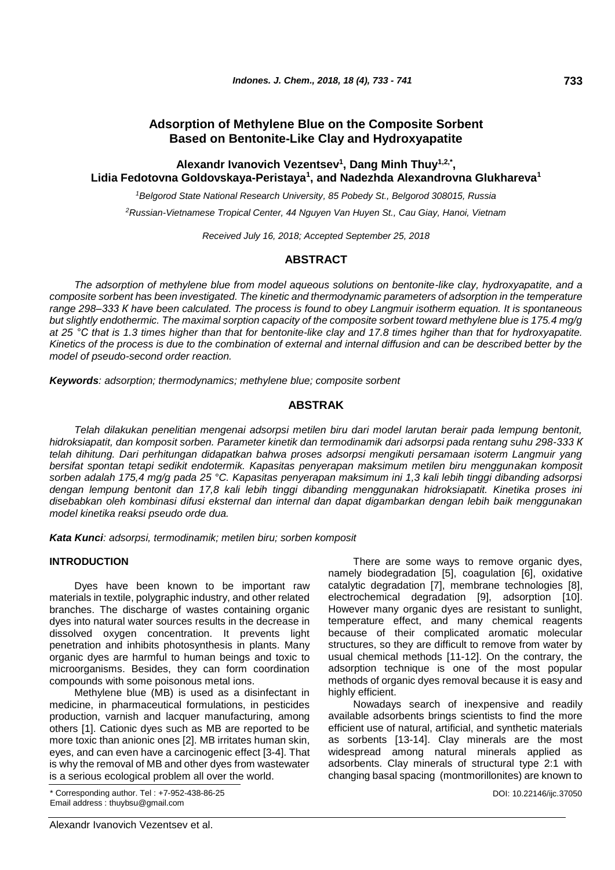# **Adsorption of Methylene Blue on the Composite Sorbent Based on Bentonite-Like Clay and Hydroxyapatite**

## **Alexandr Ivanovich Vezentsev<sup>1</sup> , Dang Minh Thuy1,2,\* , Lidia Fedotovna Goldovskaya-Peristaya<sup>1</sup> , and Nadezhda Alexandrovna Glukhareva<sup>1</sup>**

*<sup>1</sup>Belgorod State National Research University, 85 Pobedy St., Belgorod 308015, Russia*

*<sup>2</sup>Russian-Vietnamese Tropical Center, 44 Nguyen Van Huyen St., Cau Giay, Hanoi, Vietnam*

*Received July 16, 2018; Accepted September 25, 2018*

## **ABSTRACT**

*The adsorption of methylene blue from model aqueous solutions on bentonite-like clay, hydroxyapatite, and a composite sorbent has been investigated. The kinetic and thermodynamic parameters of adsorption in the temperature range 298–333 К have been calculated. The process is found to obey Langmuir isotherm equation. It is spontaneous but slightly endothermic. The maximal sorption capacity of the composite sorbent toward methylene blue is 175.4 mg/g at 25 °С that is 1.3 times higher than that for bentonite-like clay and 17.8 times hgiher than that for hydroxyapatite. Kinetics of the process is due to the combination of external and internal diffusion and can be described better by the model of pseudo-second order reaction.*

*Keywords: adsorption; thermodynamics; methylene blue; composite sorbent*

## **ABSTRAK**

*Telah dilakukan penelitian mengenai adsorpsi metilen biru dari model larutan berair pada lempung bentonit, hidroksiapatit, dan komposit sorben. Parameter kinetik dan termodinamik dari adsorpsi pada rentang suhu 298-333 К telah dihitung. Dari perhitungan didapatkan bahwa proses adsorpsi mengikuti persamaan isoterm Langmuir yang bersifat spontan tetapi sedikit endotermik. Kapasitas penyerapan maksimum metilen biru menggunakan komposit sorben adalah 175,4 mg/g pada 25 °C. Kapasitas penyerapan maksimum ini 1,3 kali lebih tinggi dibanding adsorpsi dengan lempung bentonit dan 17,8 kali lebih tinggi dibanding menggunakan hidroksiapatit. Kinetika proses ini disebabkan oleh kombinasi difusi eksternal dan internal dan dapat digambarkan dengan lebih baik menggunakan model kinetika reaksi pseudo orde dua.*

*Kata Kunci: adsorpsi, termodinamik; metilen biru; sorben komposit*

# **INTRODUCTION**

Dyes have been known to be important raw materials in textile, polygraphic industry, and other related branches. The discharge of wastes containing organic dyes into natural water sources results in the decrease in dissolved oxygen concentration. It prevents light penetration and inhibits photosynthesis in plants. Many organic dyes are harmful to human beings and toxic to microorganisms. Besides, they can form coordination compounds with some poisonous metal ions.

Methylene blue (MB) is used as a disinfectant in medicine, in pharmaceutical formulations, in pesticides production, varnish and lacquer manufacturing, among others [1]. Cationic dyes such as MB are reported to be more toxic than anionic ones [2]. MB irritates human skin, eyes, and can even have a carcinogenic effect [3-4]. That is why the removal of MB and other dyes from wastewater is a serious ecological problem all over the world.

\* Corresponding author. Tel : +7-952-438-86-25 DOI: 10.22146/ijc.37050 Email address : thuybsu@gmail.com

There are some ways to remove organic dyes, namely biodegradation [5], coagulation [6], oxidative catalytic degradation [7], membrane technologies [8], electrochemical degradation [9], adsorption [10]. However many organic dyes are resistant to sunlight, temperature effect, and many chemical reagents because of their complicated aromatic molecular structures, so they are difficult to remove from water by usual chemical methods [11-12]. On the contrary, the adsorption technique is one of the most popular methods of organic dyes removal because it is easy and highly efficient.

Nowadays search of inexpensive and readily available adsorbents brings scientists to find the more efficient use of natural, artificial, and synthetic materials as sorbents [13-14]. Clay minerals are the most widespread among natural minerals applied as adsorbents. Clay minerals of structural type 2:1 with changing basal spacing (montmorillonites) are known to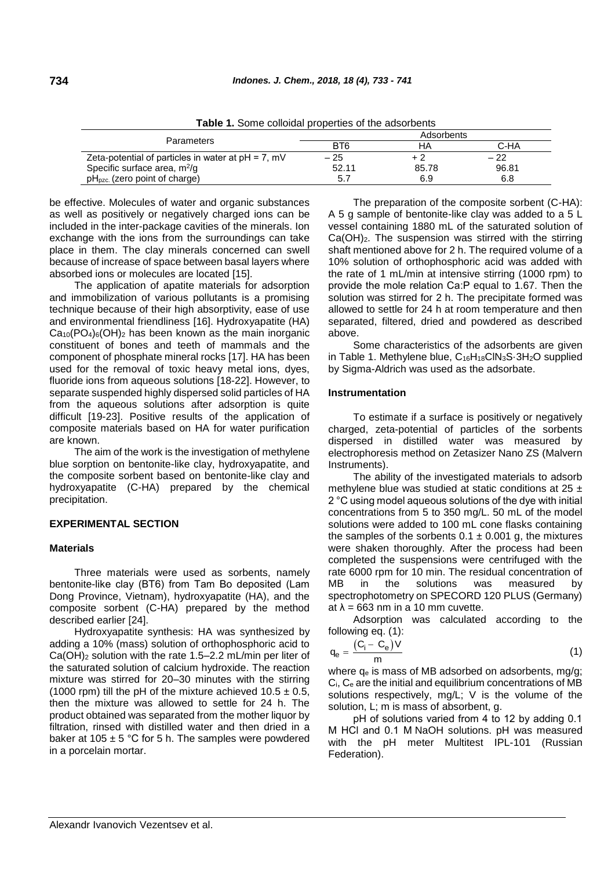**Table 1.** Some colloidal properties of the adsorbents Parameters **Adsorbents** BT6 HA C-HA Zeta-potential of particles in water at pH = 7, mV  $-25$   $+2$   $-22$ Specific surface area,  $m^2/q$ /g 52.11 85.78 96.81

pH<sub>pzc</sub>. (zero point of charge) 6.8 6.9 6.8

be effective. Molecules of water and organic substances as well as positively or negatively charged ions can be included in the inter-package cavities of the minerals. Ion exchange with the ions from the surroundings can take place in them. The clay minerals concerned can swell because of increase of space between basal layers where absorbed ions or molecules are located [15].

The application of apatite materials for adsorption and immobilization of various pollutants is a promising technique because of their high absorptivity, ease of use and environmental friendliness [16]. Hydroxyapatite (HA)  $Ca<sub>10</sub>(PO<sub>4</sub>)<sub>6</sub>(OH)<sub>2</sub>$  has been known as the main inorganic constituent of bones and teeth of mammals and the component of phosphate mineral rocks [17]. HA has been used for the removal of toxic heavy metal ions, dyes, fluoride ions from aqueous solutions [18-22]. However, to separate suspended highly dispersed solid particles of HA from the aqueous solutions after adsorption is quite difficult [19-23]. Positive results of the application of composite materials based on HA for water purification are known.

The aim of the work is the investigation of methylene blue sorption on bentonite-like clay, hydroxyapatite, and the composite sorbent based on bentonite-like clay and hydroxyapatite (C-HA) prepared by the chemical precipitation.

# **EXPERIMENTAL SECTION**

## **Materials**

Three materials were used as sorbents, namely bentonite-like clay (ВТ6) from Tam Bo deposited (Lam Dong Province, Vietnam), hydroxyapatite (HA), and the composite sorbent (C-HA) prepared by the method described earlier [24].

Hydroxyapatite synthesis: HA was synthesized by adding a 10% (mass) solution of orthophosphoric acid to Ca(OH)<sup>2</sup> solution with the rate 1.5–2.2 mL/min per liter of the saturated solution of calcium hydroxide. The reaction mixture was stirred for 20–30 minutes with the stirring (1000 rpm) till the pH of the mixture achieved  $10.5 \pm 0.5$ , then the mixture was allowed to settle for 24 h. The product obtained was separated from the mother liquor by filtration, rinsed with distilled water and then dried in a baker at 105  $\pm$  5 °C for 5 h. The samples were powdered in a porcelain mortar.

The preparation of the composite sorbent (C-HA): A 5 g sample of bentonite-like clay was added to a 5 L vessel containing 1880 mL of the saturated solution of  $Ca(OH)_2$ . The suspension was stirred with the stirring shaft mentioned above for 2 h. The required volume of a 10% solution of orthophosphoric acid was added with the rate of 1 mL/min at intensive stirring (1000 rpm) to provide the mole relation Са:Р equal to 1.67. Then the solution was stirred for 2 h. The precipitate formed was allowed to settle for 24 h at room temperature and then separated, filtered, dried and powdered as described above.

Some characteristics of the adsorbents are given in Table 1. Methylene blue, C16H18ClN3S·3H2O supplied by Sigma-Aldrich was used as the adsorbate.

#### **Instrumentation**

To estimate if a surface is positively or negatively charged, zeta-potential of particles of the sorbents dispersed in distilled water was measured by electrophoresis method on Zetasizer Nano ZS (Malvern Instruments).

The ability of the investigated materials to adsorb methylene blue was studied at static conditions at  $25 \pm$ 2 °С using model aqueous solutions of the dye with initial concentrations from 5 to 350 mg/L. 50 mL of the model solutions were added to 100 mL cone flasks containing the samples of the sorbents  $0.1 \pm 0.001$  g, the mixtures were shaken thoroughly. After the process had been completed the suspensions were centrifuged with the rate 6000 rpm for 10 min. The residual concentration of MB in the solutions was measured by spectrophotometry on SPECORD 120 PLUS (Germany) at  $\lambda = 663$  nm in a 10 mm cuvette.

Adsorption was calculated according to the following eq. (1):

$$
q_e = \frac{(C_i - C_e)V}{m}
$$
 (1)

where  $q_e$  is mass of MB adsorbed on adsorbents, mg/g;  $C_i$ ,  $C_e$  are the initial and equilibrium concentrations of MB solutions respectively, mg/L; V is the volume of the solution, L; m is mass of absorbent, g.

рН of solutions varied from 4 to 12 by adding 0.1 М HCl and 0.1 М NaOH solutions. pH was measured with the pH meter Multitest IPL-101 (Russian Federation).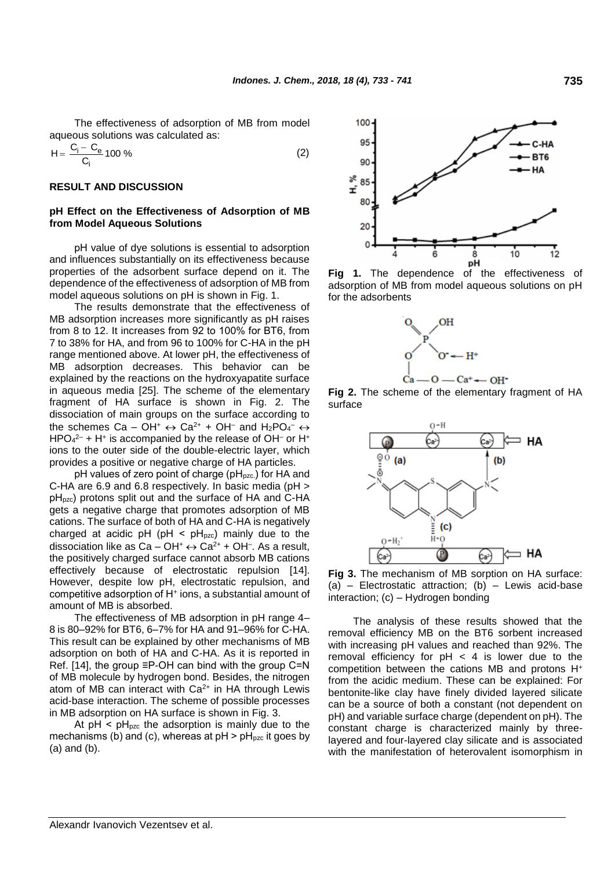The effectiveness of adsorption of MB from model aqueous solutions was calculated as:

$$
H = \frac{C_i - C_e}{C_i} 100\% \tag{2}
$$

## **RESULT AND DISCUSSION**

## **pH Effect on the Effectiveness of Adsorption of MB from Model Aqueous Solutions**

рН value of dye solutions is essential to adsorption and influences substantially on its effectiveness because properties of the adsorbent surface depend on it. The dependence of the effectiveness of adsorption of MB from model aqueous solutions on pH is shown in Fig. 1.

The results demonstrate that the effectiveness of MB adsorption increases more significantly as pH raises from 8 to 12. It increases from 92 to 100% for ВТ6, from 7 to 38% for HA, and from 96 to 100% for C-HA in the pH range mentioned above. At lower pH, the effectiveness of MB adsorption decreases. This behavior can be explained by the reactions on the hydroxyapatite surface in aqueous media [25]. The scheme of the elementary fragment of HA surface is shown in Fig. 2. The dissociation of main groups on the surface according to the schemes Ca – OH<sup>+</sup>  $\leftrightarrow$  Ca<sup>2+</sup> + OH<sup>-</sup> and H<sub>2</sub>PO<sub>4</sub><sup>-</sup>  $\leftrightarrow$  $HPO<sub>4</sub><sup>2-</sup> + H<sup>+</sup>$  is accompanied by the release of OH<sup>-</sup> or H<sup>+</sup> ions to the outer side of the double-electric layer, which provides a positive or negative charge of HA particles.

pH values of zero point of charge (pH<sub>pzc.</sub>) for HA and C-HA are 6.9 and 6.8 respectively. In basic media (pH > pH<sub>pzc</sub>) protons split out and the surface of HA and C-HA gets a negative charge that promotes adsorption of MB cations. The surface of both of HA and C-HA is negatively charged at acidic pH (pH  $<$  pH<sub>pzc</sub>) mainly due to the dissociation like as  $Ca-OH^+ \leftrightarrow Ca^{2+} + OH^-$ . As a result, the positively charged surface cannot absorb MB cations effectively because of electrostatic repulsion [14]. However, despite low pH, electrostatic repulsion, and competitive adsorption of Н<sup>+</sup> ions, a substantial amount of amount of MB is absorbed.

The effectiveness of MB adsorption in pH range 4– 8 is 80–92% for BT6, 6–7% for HA and 91–96% for C-HA. This result can be explained by other mechanisms of MB adsorption on both of HA and C-HA. As it is reported in Ref. [14], the group ≡P-OH can bind with the group С=N of MB molecule by hydrogen bond. Besides, the nitrogen atom of MB can interact with Ca<sup>2+</sup> in HA through Lewis acid-base interaction. The scheme of possible processes in MB adsorption on HA surface is shown in Fig. 3.

At  $pH < pH<sub>pzc</sub>$  the adsorption is mainly due to the mechanisms (b) and (c), whereas at  $pH > pH<sub>pzc</sub>$  it goes by (a) and (b).



**Fig 1.** The dependence of the effectiveness of adsorption of MB from model aqueous solutions on pH for the adsorbents



**Fig 2.** The scheme of the elementary fragment of HA surface



**Fig 3.** The mechanism of MB sorption on HA surface: (a) – Electrostatic attraction; (b) – Lewis acid-base interaction; (c) – Hydrogen bonding

The analysis of these results showed that the removal efficiency MB on the BT6 sorbent increased with increasing pH values and reached than 92%. The removal efficiency for  $pH < 4$  is lower due to the competition between the cations MB and protons H<sup>+</sup> from the acidic medium. These can be explained: For bentonite-like clay have finely divided layered silicate can be a source of both a constant (not dependent on pH) and variable surface charge (dependent on pH). The constant charge is characterized mainly by threelayered and four-layered clay silicate and is associated with the manifestation of heterovalent isomorphism in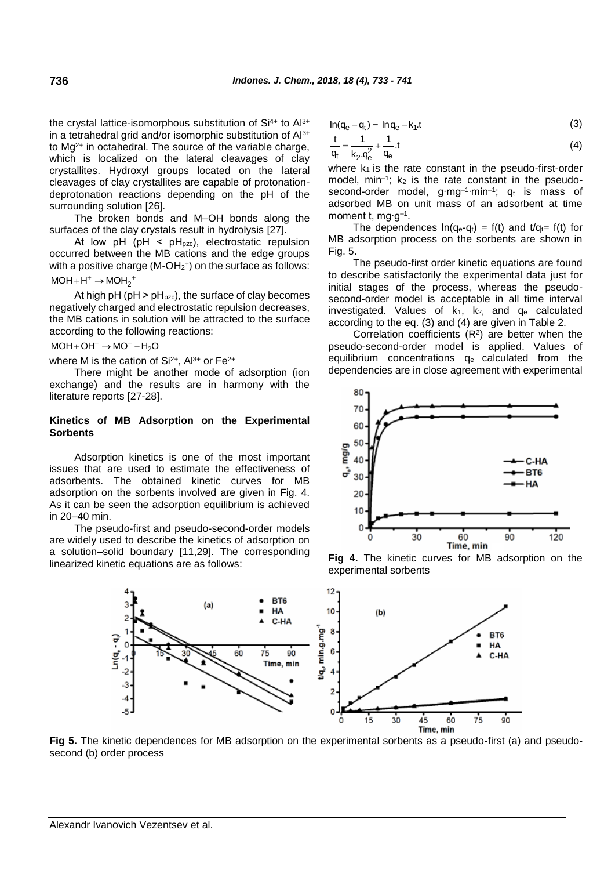the crystal lattice-isomorphous substitution of  $Si<sup>4+</sup>$  to  $Al<sup>3+</sup>$ in a tetrahedral grid and/or isomorphic substitution of Al3+ to  $Mg^{2+}$  in octahedral. The source of the variable charge, which is localized on the lateral cleavages of clay crystallites. Hydroxyl groups located on the lateral cleavages of clay crystallites are capable of protonationdeprotonation reactions depending on the pH of the surrounding solution [26].

The broken bonds and M–OH bonds along the surfaces of the clay crystals result in hydrolysis [27].

At low pH (pH <  $pH_{pzc}$ ), electrostatic repulsion occurred between the MB cations and the edge groups with a positive charge (M-OH $_2$ <sup>+</sup>) on the surface as follows:  $MOH + H^+ \rightarrow MOH_2^+$ 

At high pH ( $pH$  >  $pH<sub>pzc</sub>$ ), the surface of clay becomes negatively charged and electrostatic repulsion decreases, the MB cations in solution will be attracted to the surface according to the following reactions:

 $MOH + OH^{-} \rightarrow MO^{-} + H_{2}O$ 

where M is the cation of  $Si^{2+}$ ,  $Al^{3+}$  or  $Fe^{2+}$ 

There might be another mode of adsorption (ion exchange) and the results are in harmony with the literature reports [27-28].

## **Kinetics of MB Adsorption on the Experimental Sorbents**

Adsorption kinetics is one of the most important issues that are used to estimate the effectiveness of adsorbents. The obtained kinetic curves for MB adsorption on the sorbents involved are given in Fig. 4. As it can be seen the adsorption equilibrium is achieved in 20–40 min.

The pseudo-first and pseudo-second-order models are widely used to describe the kinetics of adsorption on a solution–solid boundary [11,29]. The corresponding linearized kinetic equations are as follows:

$$
ln(q_e - q_t) = ln q_e - k_1.t
$$
\n(3)

$$
\frac{t}{q_t} = \frac{1}{k_2 \cdot q_e^2} + \frac{1}{q_e} \cdot t \tag{4}
$$

where  $k_1$  is the rate constant in the pseudo-first-order model,  $min^{-1}$ ;  $k_2$  is the rate constant in the pseudosecond-order model, g⋅mg<sup>-1</sup>⋅min<sup>-1</sup>; q<sub>t</sub> is mass of adsorbed MB on unit mass of an adsorbent at time moment t, mg∙g–1 .

The dependences  $ln(q_e-q_t) = f(t)$  and  $t/q_t = f(t)$  for MB adsorption process on the sorbents are shown in Fig. 5.

The pseudo-first order kinetic equations are found to describe satisfactorily the experimental data just for initial stages of the process, whereas the pseudosecond-order model is acceptable in all time interval investigated. Values of  $k_1$ ,  $k_2$ , and  $q_e$  calculated according to the eq. (3) and (4) are given in Table 2.

Correlation coefficients  $(R<sup>2</sup>)$  are better when the pseudo-second-order model is applied. Values of equilibrium concentrations q<sup>e</sup> calculated from the dependencies are in close agreement with experimental



**Fig 4.** The kinetic curves for MB adsorption on the experimental sorbents



**Fig 5.** The kinetic dependences for MB adsorption on the experimental sorbents as a pseudo-first (a) and pseudosecond (b) order process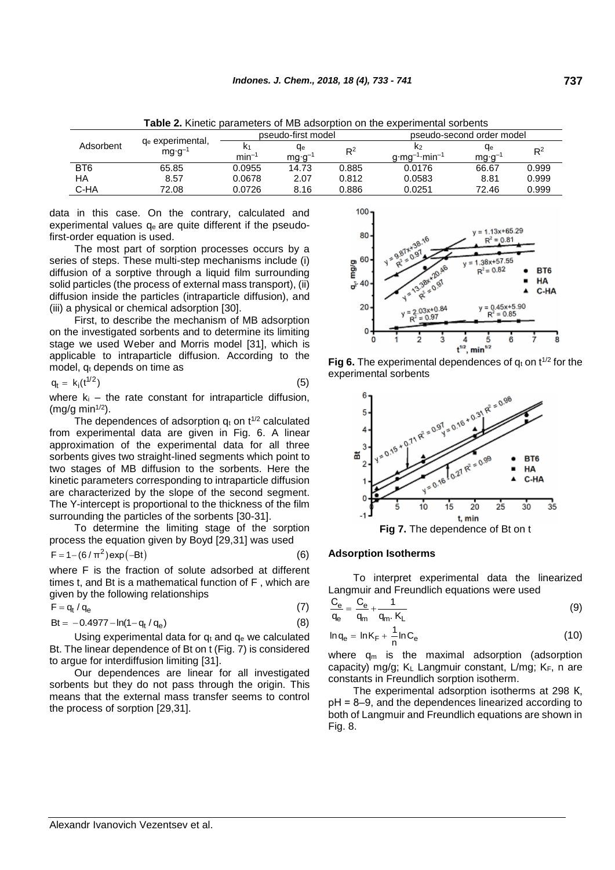| Adsorbent       | q <sub>e</sub> experimental,<br>$mg \cdot g^{-1}$ | pseudo-first model |                |       | pseudo-second order model              |                |       |
|-----------------|---------------------------------------------------|--------------------|----------------|-------|----------------------------------------|----------------|-------|
|                 |                                                   | $min^{-1}$         | qе<br>$mg·g^-$ | $R^2$ | K2<br>$g \cdot mg^{-1} \cdot min^{-1}$ | qе<br>$mg·g^-$ | $R^2$ |
| BT <sub>6</sub> | 65.85                                             | 0.0955             | 14.73          | 0.885 | 0.0176                                 | 66.67          | 0.999 |
| ΗA              | 8.57                                              | 0.0678             | 2.07           | 0.812 | 0.0583                                 | 8.81           | 0.999 |
| C-HA            | 72.08                                             | 0.0726             | 8.16           | 0.886 | 0.0251                                 | 72.46          | 0.999 |

**Table 2.** Kinetic parameters of MB adsorption on the experimental sorbents

data in this case. On the contrary, calculated and experimental values  $q_e$  are quite different if the pseudofirst-order equation is used.

The most part of sorption processes occurs by a series of steps. These multi-step mechanisms include (i) diffusion of a sorptive through a liquid film surrounding solid particles (the process of external mass transport), (ii) diffusion inside the particles (intraparticle diffusion), and (iii) a physical or chemical adsorption [30].

First, to describe the mechanism of MB adsorption on the investigated sorbents and to determine its limiting stage we used Weber and Morris model [31], which is applicable to intraparticle diffusion. According to the model,  $q_t$  depends on time as

$$
q_t = k_i(t^{1/2})
$$
 (5)

where  $k_i$  – the rate constant for intraparticle diffusion,  $(mg/g min<sup>1/2</sup>)$ .

The dependences of adsorption  $q_t$  on  $t^{1/2}$  calculated from experimental data are given in Fig. 6. A linear approximation of the experimental data for all three sorbents gives two straight-lined segments which point to two stages of MB diffusion to the sorbents. Here the kinetic parameters corresponding to intraparticle diffusion are characterized by the slope of the second segment. The Y-intercept is proportional to the thickness of the film surrounding the particles of the sorbents [30-31].

To determine the limiting stage of the sorption process the equation given by Boyd [29,31] was used

$$
F = 1 - (6/\pi^2) \exp(-Bt)
$$
 (6)

where F is the fraction of solute adsorbed at different times t, and Bt is a mathematical function of F , which are given by the following relationships

$$
F = q_t / q_e \tag{7}
$$

$$
Bt = -0.4977 - \ln(1 - q_t / q_e)
$$
\n
$$
I \sin \alpha \text{ experimental data for } q_t \text{ and } q_s \text{ we calculated}
$$

Using experimental data for  $q_t$  and  $q_e$  we calculated Bt. The linear dependence of Bt on t (Fig. 7) is considered to argue for interdiffusion limiting [31].

Our dependences are linear for all investigated sorbents but they do not pass through the origin. This means that the external mass transfer seems to control the process of sorption [29,31].







#### **Adsorption Isotherms**

To interpret experimental data the linearized Langmuir and Freundlich equations were used

$$
\frac{C_e}{q_e} = \frac{C_e}{q_m} + \frac{1}{q_m \cdot K_L} \tag{9}
$$

$$
\ln q_e = \ln K_F + \frac{1}{n} \ln C_e \tag{10}
$$

where  $q_m$  is the maximal adsorption (adsorption capacity) mg/g;  $K_L$  Langmuir constant, L/mg;  $K_F$ , n are constants in Freundlich sorption isotherm.

The experimental adsorption isotherms at 298 К, pH = 8–9, and the dependences linearized according to both of Langmuir and Freundlich equations are shown in Fig. 8.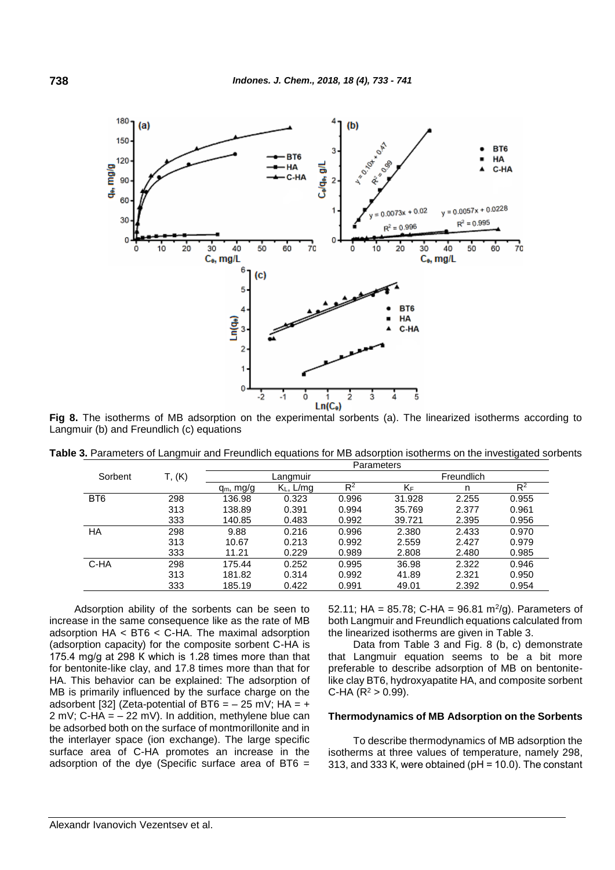

**Fig 8.** The isotherms of MB adsorption on the experimental sorbents (a). The linearized isotherms according to Langmuir (b) and Freundlich (c) equations

|  | Table 3. Parameters of Langmuir and Freundlich equations for MB adsorption isotherms on the investigated sorbents |  |                   |  |  |
|--|-------------------------------------------------------------------------------------------------------------------|--|-------------------|--|--|
|  |                                                                                                                   |  | <b>Parameters</b> |  |  |

|                 |        | aianictus    |              |       |            |       |                |  |  |
|-----------------|--------|--------------|--------------|-------|------------|-------|----------------|--|--|
| Sorbent         | T, (K) | Langmuir     |              |       | Freundlich |       |                |  |  |
|                 |        | $q_m$ , mg/g | $K_L$ , L/mg | $R^2$ | KF         | n     | R <sup>2</sup> |  |  |
| BT <sub>6</sub> | 298    | 136.98       | 0.323        | 0.996 | 31.928     | 2.255 | 0.955          |  |  |
|                 | 313    | 138.89       | 0.391        | 0.994 | 35.769     | 2.377 | 0.961          |  |  |
|                 | 333    | 140.85       | 0.483        | 0.992 | 39.721     | 2.395 | 0.956          |  |  |
| НA              | 298    | 9.88         | 0.216        | 0.996 | 2.380      | 2.433 | 0.970          |  |  |
|                 | 313    | 10.67        | 0.213        | 0.992 | 2.559      | 2.427 | 0.979          |  |  |
|                 | 333    | 11.21        | 0.229        | 0.989 | 2.808      | 2.480 | 0.985          |  |  |
| C-HA            | 298    | 175.44       | 0.252        | 0.995 | 36.98      | 2.322 | 0.946          |  |  |
|                 | 313    | 181.82       | 0.314        | 0.992 | 41.89      | 2.321 | 0.950          |  |  |
|                 | 333    | 185.19       | 0.422        | 0.991 | 49.01      | 2.392 | 0.954          |  |  |

Adsorption ability of the sorbents can be seen to increase in the same consequence like as the rate of MB adsorption HA < BT6 < C-HA. The maximal adsorption (adsorption capacity) for the composite sorbent C-HA is 175.4 mg/g at 298 К which is 1.28 times more than that for bentonite-like clay, and 17.8 times more than that for HA. This behavior can be explained: The adsorption of MB is primarily influenced by the surface charge on the adsorbent [32] (Zeta-potential of BT6 =  $-$  25 mV; HA =  $+$ 2 mV; C-HA =  $-$  22 mV). In addition, methylene blue can be adsorbed both on the surface of montmorillonite and in the interlayer space (ion exchange). The large specific surface area of C-HA promotes an increase in the adsorption of the dye (Specific surface area of BT6  $=$ 

52.11; HA =  $85.78$ ; C-HA =  $96.81 \text{ m}^2/\text{g}$ ). Parameters of both Langmuir and Freundlich equations calculated from the linearized isotherms are given in Table 3.

Data from Table 3 and Fig. 8 (b, c) demonstrate that Langmuir equation seems to be a bit more preferable to describe adsorption of MB on bentonitelike clay BT6, hydroxyapatite HA, and composite sorbent C-HA ( $R^2 > 0.99$ ).

## **Thermodynamics of MB Adsorption on the Sorbents**

To describe thermodynamics of MB adsorption the isotherms at three values of temperature, namely 298, 313, and 333 K, were obtained ( $pH = 10.0$ ). The constant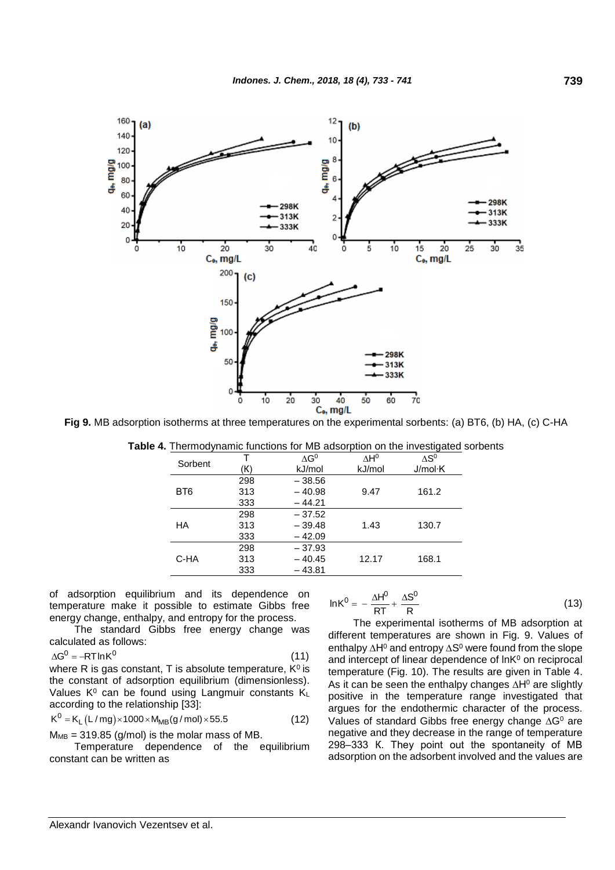

**Fig 9.** MB adsorption isotherms at three temperatures on the experimental sorbents: (a) BT6, (b) HA, (c) C-HA

| Sorbent         |     | $\Lambda$ G <sup>0</sup> | $\Lambda$ H <sup>o</sup> | $\Delta S^0$ |  |
|-----------------|-----|--------------------------|--------------------------|--------------|--|
|                 | (K) | kJ/mol                   | kJ/mol                   | J/mol·K      |  |
|                 | 298 | $-38.56$                 |                          |              |  |
| BT <sub>6</sub> | 313 | $-40.98$                 | 9.47                     | 161.2        |  |
|                 | 333 | $-44.21$                 |                          |              |  |
|                 | 298 | $-37.52$                 |                          |              |  |
| НA              | 313 | $-39.48$                 | 1.43                     | 130.7        |  |
|                 | 333 | $-42.09$                 |                          |              |  |
|                 | 298 | $-37.93$                 |                          |              |  |
| C-HA            | 313 | $-40.45$                 | 12.17                    | 168.1        |  |
|                 | 333 | $-43.81$                 |                          |              |  |
|                 |     |                          |                          |              |  |

**Table 4.** Thermodynamic functions for MB adsorption on the investigated sorbents

of adsorption equilibrium and its dependence on temperature make it possible to estimate Gibbs free energy change, enthalpy, and entropy for the process.

The standard Gibbs free energy change was calculated as follows:

 $\Delta G^0 = -RT \ln K^0$ (11)

where R is gas constant, T is absolute temperature,  $K^0$  is the constant of adsorption equilibrium (dimensionless). Values  $K^0$  can be found using Langmuir constants  $K_L$ according to the relationship [33]:<br> $K^0 = K_L (L/mg) \times 1000 \times M_{MB}(g/mol) \times 55.5$ 

$$
K^0 = K_L (L/mg) \times 1000 \times M_{MB} (g/mol) \times 55.5
$$
 (12)

 $M<sub>MB</sub> = 319.85$  (g/mol) is the molar mass of MB.

Temperature dependence of the equilibrium constant can be written as

$$
ln K^0 = -\frac{\Delta H^0}{RT} + \frac{\Delta S^0}{R}
$$
 (13)

The experimental isotherms of MB adsorption at different temperatures are shown in Fig. 9. Values of enthalpy  $\Delta H^0$  and entropy  $\Delta S^0$  were found from the slope and intercept of linear dependence of  $ln K<sup>0</sup>$  on reciprocal temperature (Fig. 10). The results are given in Table 4. As it can be seen the enthalpy changes  $\Delta H^0$  are slightly positive in the temperature range investigated that argues for the endothermic character of the process. Values of standard Gibbs free energy change  $\Delta G^0$  are negative and they decrease in the range of temperature 298–333 К. They point out the spontaneity of MB adsorption on the adsorbent involved and the values are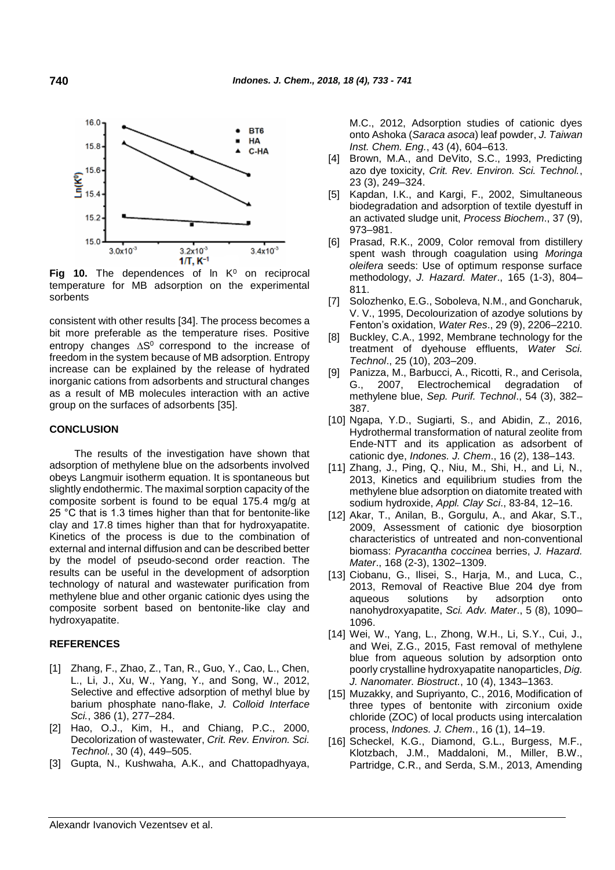

Fig 10. The dependences of In K<sup>0</sup> on reciprocal temperature for MB adsorption on the experimental sorbents

consistent with other results [34]. The process becomes a bit more preferable as the temperature rises. Positive entropy changes  $\Delta S^0$  correspond to the increase of freedom in the system because of MB adsorption. Entropy increase can be explained by the release of hydrated inorganic cations from adsorbents and structural changes as a result of MB molecules interaction with an active group on the surfaces of adsorbents [35].

#### **CONCLUSION**

The results of the investigation have shown that adsorption of methylene blue on the adsorbents involved obeys Langmuir isotherm equation. It is spontaneous but slightly endothermic. The maximal sorption capacity of the composite sorbent is found to be equal 175.4 mg/g at 25 °С that is 1.3 times higher than that for bentonite-like clay and 17.8 times higher than that for hydroxyapatite. Kinetics of the process is due to the combination of external and internal diffusion and can be described better by the model of pseudo-second order reaction. The results can be useful in the development of adsorption technology of natural and wastewater purification from methylene blue and other organic cationic dyes using the composite sorbent based on bentonite-like clay and hydroxyapatite.

#### **REFERENCES**

- [1] Zhang, F., Zhao, Z., Tan, R., Guo, Y., Cao, L., Chen, L., Li, J., Xu, W., Yang, Y., and Song, W., 2012, Selective and effective adsorption of methyl blue by barium phosphate nano-flake, *J. Colloid Interface Sci.*, 386 (1), 277–284.
- [2] Hao, O.J., Kim, H., and Chiang, P.C., 2000, Decolorization of wastewater, *Crit. Rev. Environ. Sci. Technol.*, 30 (4), 449–505.
- [3] Gupta, N., Kushwaha, A.K., and Chattopadhyaya,

M.C., 2012, Adsorption studies of cationic dyes onto Ashoka (*Saraca asoca*) leaf powder, *J. Taiwan Inst. Chem. Eng.*, 43 (4), 604–613.

- [4] Brown, M.A., and DeVito, S.C., 1993, Predicting azo dye toxicity, *Crit. Rev. Environ. Sci. Technol.*, 23 (3), 249–324.
- [5] Kapdan, I.K., and Kargi, F., 2002, Simultaneous biodegradation and adsorption of textile dyestuff in an activated sludge unit, *Process Biochem*., 37 (9), 973–981.
- [6] Prasad, R.K., 2009, Color removal from distillery spent wash through coagulation using *Moringa oleifera* seeds: Use of optimum response surface methodology, *J. Hazard. Mater*., 165 (1-3), 804– 811.
- [7] Solozhenko, E.G., Soboleva, N.M., and Goncharuk, V. V., 1995, Decolourization of azodye solutions by Fenton's oxidation, *Water Res*., 29 (9), 2206–2210.
- [8] Buckley, C.A., 1992, Membrane technology for the treatment of dyehouse effluents, *Water Sci. Technol*., 25 (10), 203–209.
- [9] Panizza, M., Barbucci, A., Ricotti, R., and Cerisola, G., 2007, Electrochemical degradation of methylene blue, *Sep. Purif. Technol*., 54 (3), 382– 387.
- [10] Ngapa, Y.D., Sugiarti, S., and Abidin, Z., 2016, Hydrothermal transformation of natural zeolite from Ende-NTT and its application as adsorbent of cationic dye, *Indones. J. Chem*., 16 (2), 138–143.
- [11] Zhang, J., Ping, Q., Niu, M., Shi, H., and Li, N., 2013, Kinetics and equilibrium studies from the methylene blue adsorption on diatomite treated with sodium hydroxide, *Appl. Clay Sci*., 83-84, 12–16.
- [12] Akar, T., Anilan, B., Gorgulu, A., and Akar, S.T., 2009, Assessment of cationic dye biosorption characteristics of untreated and non-conventional biomass: *Pyracantha coccinea* berries, *J. Hazard. Mater*., 168 (2-3), 1302–1309.
- [13] Ciobanu, G., Ilisei, S., Harja, M., and Luca, C., 2013, Removal of Reactive Blue 204 dye from aqueous solutions by adsorption onto nanohydroxyapatite, *Sci. Adv. Mater*., 5 (8), 1090– 1096.
- [14] Wei, W., Yang, L., Zhong, W.H., Li, S.Y., Cui, J., and Wei, Z.G., 2015, Fast removal of methylene blue from aqueous solution by adsorption onto poorly crystalline hydroxyapatite nanoparticles, *Dig. J. Nanomater. Biostruct.*, 10 (4), 1343–1363.
- [15] Muzakky, and Supriyanto, C., 2016, Modification of three types of bentonite with zirconium oxide chloride (ZOC) of local products using intercalation process, *Indones. J. Chem*., 16 (1), 14–19.
- [16] Scheckel, K.G., Diamond, G.L., Burgess, M.F., Klotzbach, J.M., Maddaloni, M., Miller, B.W., Partridge, C.R., and Serda, S.M., 2013, Amending